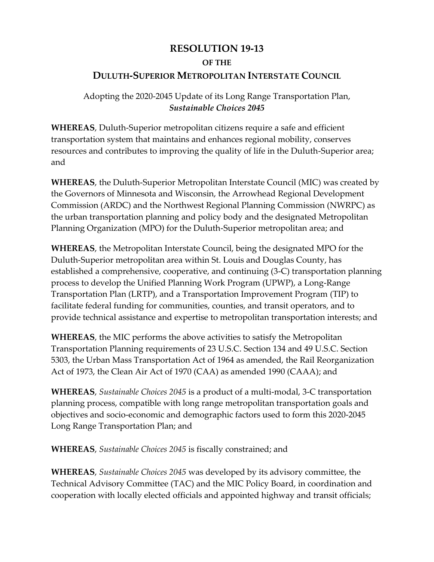## **RESOLUTION 19-13 OF THE DULUTH-SUPERIOR METROPOLITAN INTERSTATE COUNCIL**

Adopting the 2020-2045 Update of its Long Range Transportation Plan, *Sustainable Choices 2045*

**WHEREAS**, Duluth-Superior metropolitan citizens require a safe and efficient transportation system that maintains and enhances regional mobility, conserves resources and contributes to improving the quality of life in the Duluth-Superior area; and

**WHEREAS**, the Duluth-Superior Metropolitan Interstate Council (MIC) was created by the Governors of Minnesota and Wisconsin, the Arrowhead Regional Development Commission (ARDC) and the Northwest Regional Planning Commission (NWRPC) as the urban transportation planning and policy body and the designated Metropolitan Planning Organization (MPO) for the Duluth-Superior metropolitan area; and

**WHEREAS**, the Metropolitan Interstate Council, being the designated MPO for the Duluth-Superior metropolitan area within St. Louis and Douglas County, has established a comprehensive, cooperative, and continuing (3-C) transportation planning process to develop the Unified Planning Work Program (UPWP), a Long-Range Transportation Plan (LRTP), and a Transportation Improvement Program (TIP) to facilitate federal funding for communities, counties, and transit operators, and to provide technical assistance and expertise to metropolitan transportation interests; and

**WHEREAS**, the MIC performs the above activities to satisfy the Metropolitan Transportation Planning requirements of 23 U.S.C. Section 134 and 49 U.S.C. Section 5303, the Urban Mass Transportation Act of 1964 as amended, the Rail Reorganization Act of 1973, the Clean Air Act of 1970 (CAA) as amended 1990 (CAAA); and

**WHEREAS**, *Sustainable Choices 2045* is a product of a multi-modal, 3-C transportation planning process, compatible with long range metropolitan transportation goals and objectives and socio-economic and demographic factors used to form this 2020-2045 Long Range Transportation Plan; and

**WHEREAS**, *Sustainable Choices 2045* is fiscally constrained; and

**WHEREAS**, *Sustainable Choices 2045* was developed by its advisory committee, the Technical Advisory Committee (TAC) and the MIC Policy Board, in coordination and cooperation with locally elected officials and appointed highway and transit officials;